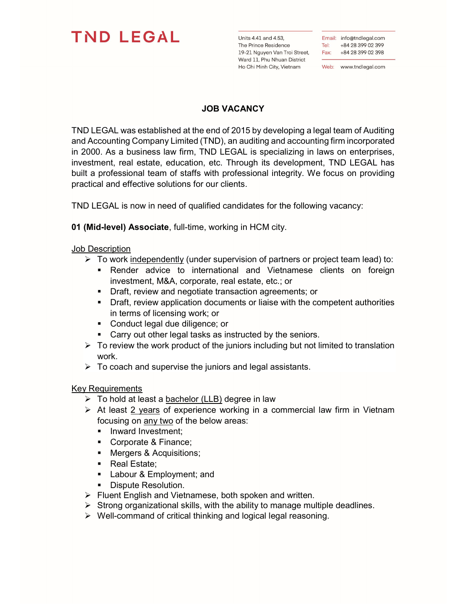## **TND LEGAL**

Units 4.41 and 4.53, The Prince Residence 19-21 Nguyen Van Troi Street, Ward 11, Phu Nhuan District Ho Chi Minh City, Vietnam

Email: info@tndlegal.com Tel: +84 28 399 02 399 Fax: +84 28 399 02 398

Web: www.tndlegal.com

## JOB VACANCY

TND LEGAL was established at the end of 2015 by developing a legal team of Auditing and Accounting Company Limited (TND), an auditing and accounting firm incorporated in 2000. As a business law firm, TND LEGAL is specializing in laws on enterprises, investment, real estate, education, etc. Through its development, TND LEGAL has built a professional team of staffs with professional integrity. We focus on providing practical and effective solutions for our clients.

TND LEGAL is now in need of qualified candidates for the following vacancy:

01 (Mid-level) Associate, full-time, working in HCM city.

## Job Description

- $\triangleright$  To work independently (under supervision of partners or project team lead) to:
	- **-** Render advice to international and Vietnamese clients on foreign investment, M&A, corporate, real estate, etc.; or
	- **Draft, review and negotiate transaction agreements; or**
	- Draft, review application documents or liaise with the competent authorities in terms of licensing work; or
	- Conduct legal due diligence; or
	- **Carry out other legal tasks as instructed by the seniors.**
- $\triangleright$  To review the work product of the juniors including but not limited to translation work.
- $\triangleright$  To coach and supervise the juniors and legal assistants.

## Key Requirements

- $\triangleright$  To hold at least a bachelor (LLB) degree in law
- $\triangleright$  At least 2 years of experience working in a commercial law firm in Vietnam focusing on any two of the below areas:
	- **Inward Investment;**
	- Corporate & Finance;
	- Mergers & Acquisitions;
	- Real Estate;
	- **Labour & Employment; and**
	- **Dispute Resolution.**
- $\triangleright$  Fluent English and Vietnamese, both spoken and written.
- $\triangleright$  Strong organizational skills, with the ability to manage multiple deadlines.
- $\triangleright$  Well-command of critical thinking and logical legal reasoning.